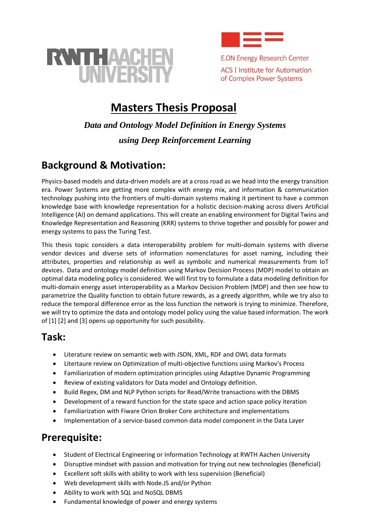



**E.ON Energy Research Center ACS | Institute for Automation** of Complex Power Systems

# **Masters Thesis Proposal**

# *Data and Ontology Model Definition in Energy Systems using Deep Reinforcement Learning*

### **Background & Motivation:**

Physics-based models and data-driven models are at a cross road as we head into the energy transition era. Power Systems are getting more complex with energy mix, and information & communication technology pushing into the frontiers of multi-domain systems making it pertinent to have a common knowledge base with knowledge representation for a holistic decision-making across divers Artificial Intelligence (AI) on demand applications. This will create an enabling environment for Digital Twins and Knowledge Representation and Reasoning (KRR) systems to thrive together and possibly for power and energy systems to pass the Turing Test.

This thesis topic considers a data interoperability problem for multi-domain systems with diverse vendor devices and diverse sets of information nomenclatures for asset naming, including their attributes, properties and relationship as well as symbolic and numerical measurements from IoT devices. Data and ontology model definition using Markov Decision Process (MDP) model to obtain an optimal data modeling policy is considered. We will first try to formulate a data modeling definition for multi-domain energy asset interoperability as a Markov Decision Problem (MDP) and then see how to parametrize the Quality function to obtain future rewards, as a greedy algorithm, while we try also to reduce the temporal difference error as the loss function the network is trying to minimize. Therefore, we will try to optimize the data and ontology model policy using the value based information. The work of [1] [2] and [3] opens up opportunity for such possibility.

### **Task:**

- Literature review on semantic web with JSON, XML, RDF and OWL data formats
- Litertaure review on Optimization of multi-objective functions using Markov's Process
- Familiarization of modern optimization principles using Adaptive Dynamic Programming
- Review of existing validators for Data model and Ontology definition.
- Build Regex, DM and NLP Python scripts for Read/Write transactions with the DBMS
- Development of a reward function for the state space and action space policy iteration
- Familiarization with Fiware Orion Broker Core architecture and implementations
- Implementation of a service-based common data model component in the Data Layer

### **Prerequisite:**

- Student of Electrical Engineering or Information Technology at RWTH Aachen University
- Disruptive mindset with passion and motivation for trying out new technologies (Beneficial)
- Excellent soft skills with ability to work with less supervision (Beneficial)
- Web development skills with Node.JS and/or Python
- Ability to work with SQL and NoSQL DBMS
- Fundamental knowledge of power and energy systems